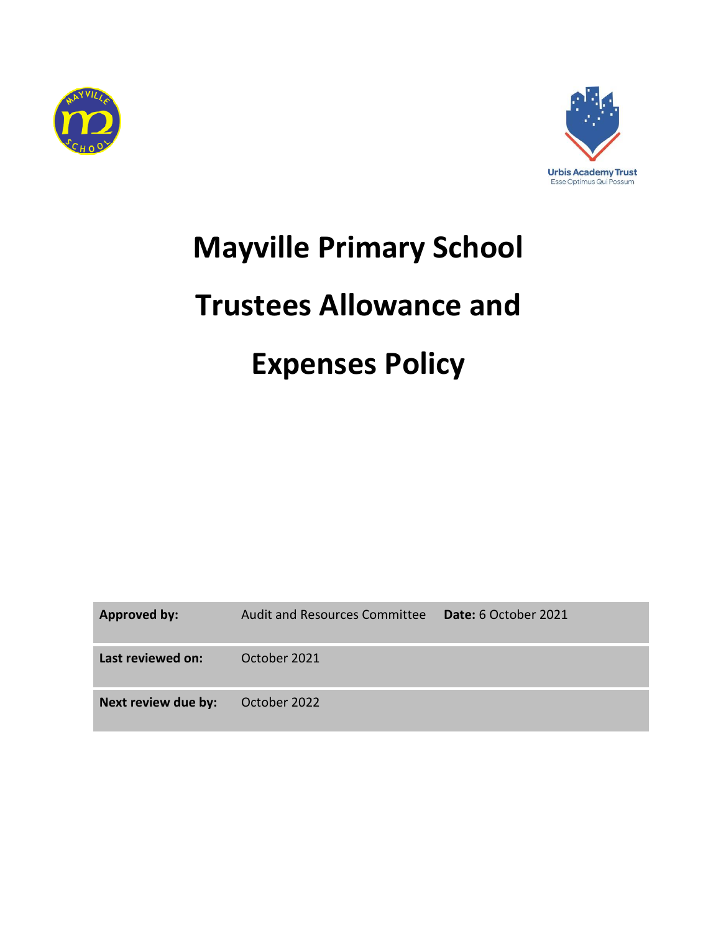



## **Mayville Primary School**

## **Trustees Allowance and**

# **Expenses Policy**

| <b>Approved by:</b> | Audit and Resources Committee | <b>Date:</b> 6 October 2021 |
|---------------------|-------------------------------|-----------------------------|
| Last reviewed on:   | October 2021                  |                             |
| Next review due by: | October 2022                  |                             |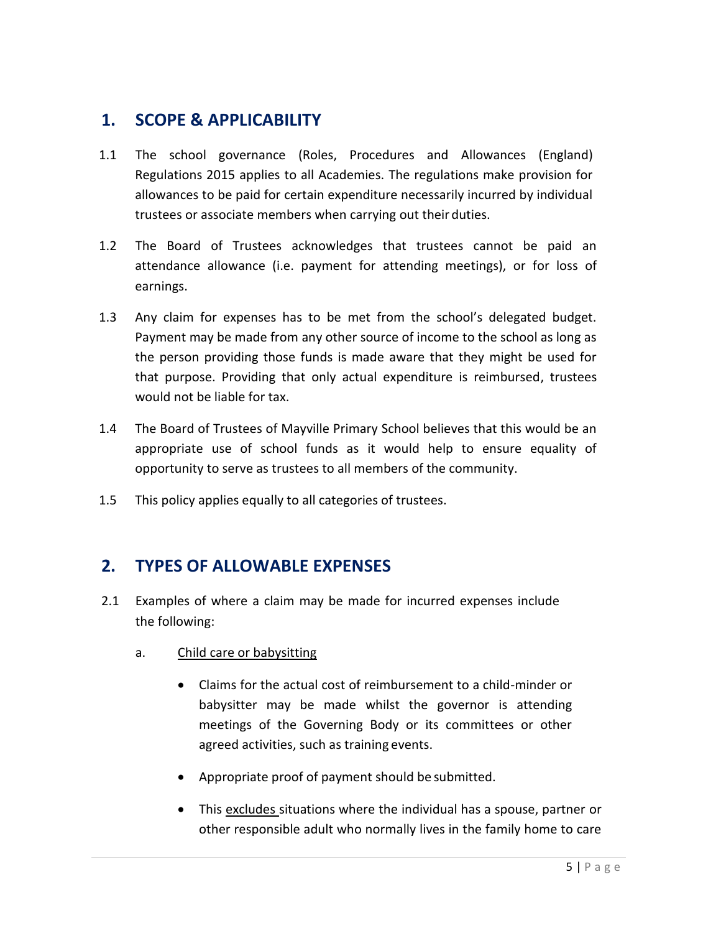#### **1. SCOPE & APPLICABILITY**

- 1.1 The school governance (Roles, Procedures and Allowances (England) Regulations 2015 applies to all Academies. The regulations make provision for allowances to be paid for certain expenditure necessarily incurred by individual trustees or associate members when carrying out theirduties.
- 1.2 The Board of Trustees acknowledges that trustees cannot be paid an attendance allowance (i.e. payment for attending meetings), or for loss of earnings.
- 1.3 Any claim for expenses has to be met from the school's delegated budget. Payment may be made from any other source of income to the school as long as the person providing those funds is made aware that they might be used for that purpose. Providing that only actual expenditure is reimbursed, trustees would not be liable for tax.
- 1.4 The Board of Trustees of Mayville Primary School believes that this would be an appropriate use of school funds as it would help to ensure equality of opportunity to serve as trustees to all members of the community.
- 1.5 This policy applies equally to all categories of trustees.

#### **2. TYPES OF ALLOWABLE EXPENSES**

- 2.1 Examples of where a claim may be made for incurred expenses include the following:
	- a. Child care or babysitting
		- Claims for the actual cost of reimbursement to a child-minder or babysitter may be made whilst the governor is attending meetings of the Governing Body or its committees or other agreed activities, such as training events.
		- Appropriate proof of payment should be submitted.
		- This excludes situations where the individual has a spouse, partner or other responsible adult who normally lives in the family home to care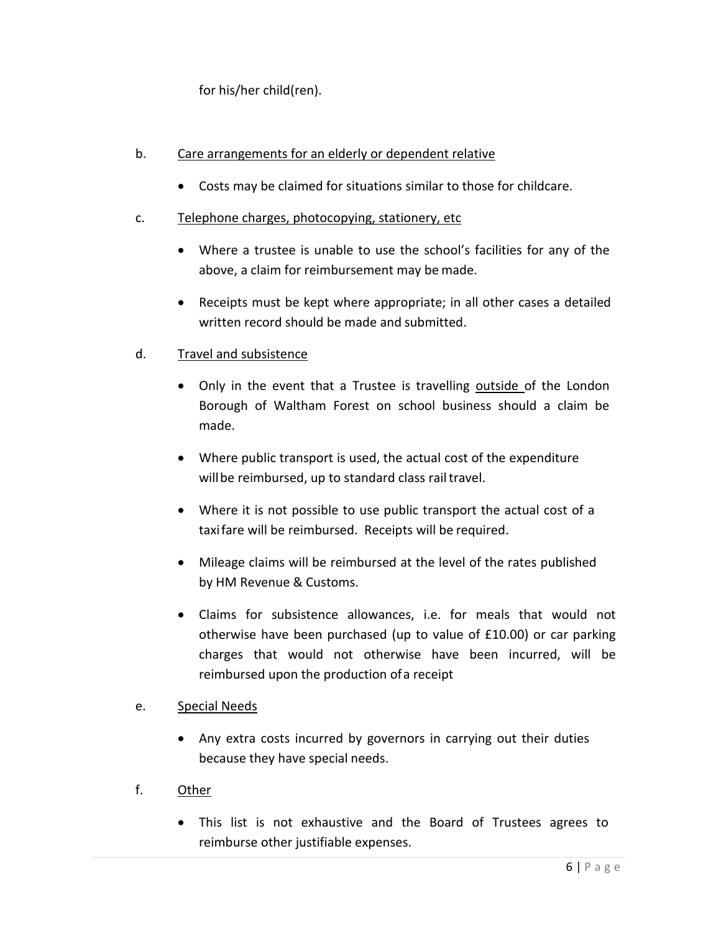for his/her child(ren).

#### b. Care arrangements for an elderly or dependent relative

- Costs may be claimed for situations similar to those for childcare.
- c. Telephone charges, photocopying, stationery, etc
	- Where a trustee is unable to use the school's facilities for any of the above, a claim for reimbursement may be made.
	- Receipts must be kept where appropriate; in all other cases a detailed written record should be made and submitted.

#### d. Travel and subsistence

- Only in the event that a Trustee is travelling outside of the London Borough of Waltham Forest on school business should a claim be made.
- Where public transport is used, the actual cost of the expenditure will be reimbursed, up to standard class rail travel.
- Where it is not possible to use public transport the actual cost of a taxifare will be reimbursed. Receipts will be required.
- Mileage claims will be reimbursed at the level of the rates published by HM Revenue & Customs.
- Claims for subsistence allowances, i.e. for meals that would not otherwise have been purchased (up to value of £10.00) or car parking charges that would not otherwise have been incurred, will be reimbursed upon the production ofa receipt

#### e. Special Needs

- Any extra costs incurred by governors in carrying out their duties because they have special needs.
- f. Other
	- This list is not exhaustive and the Board of Trustees agrees to reimburse other justifiable expenses.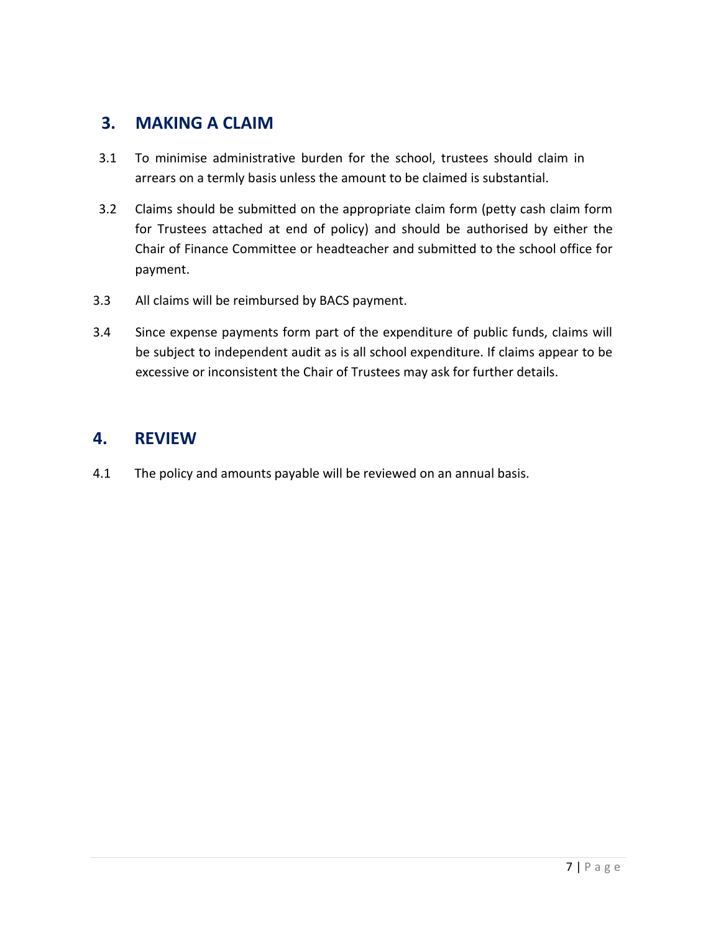#### **3. MAKING A CLAIM**

- 3.1 To minimise administrative burden for the school, trustees should claim in arrears on a termly basis unless the amount to be claimed is substantial.
- 3.2 Claims should be submitted on the appropriate claim form (petty cash claim form for Trustees attached at end of policy) and should be authorised by either the Chair of Finance Committee or headteacher and submitted to the school office for payment.
- 3.3 All claims will be reimbursed by BACS payment.
- 3.4 Since expense payments form part of the expenditure of public funds, claims will be subject to independent audit as is all school expenditure. If claims appear to be excessive or inconsistent the Chair of Trustees may ask for further details.

#### **4. REVIEW**

4.1 The policy and amounts payable will be reviewed on an annual basis.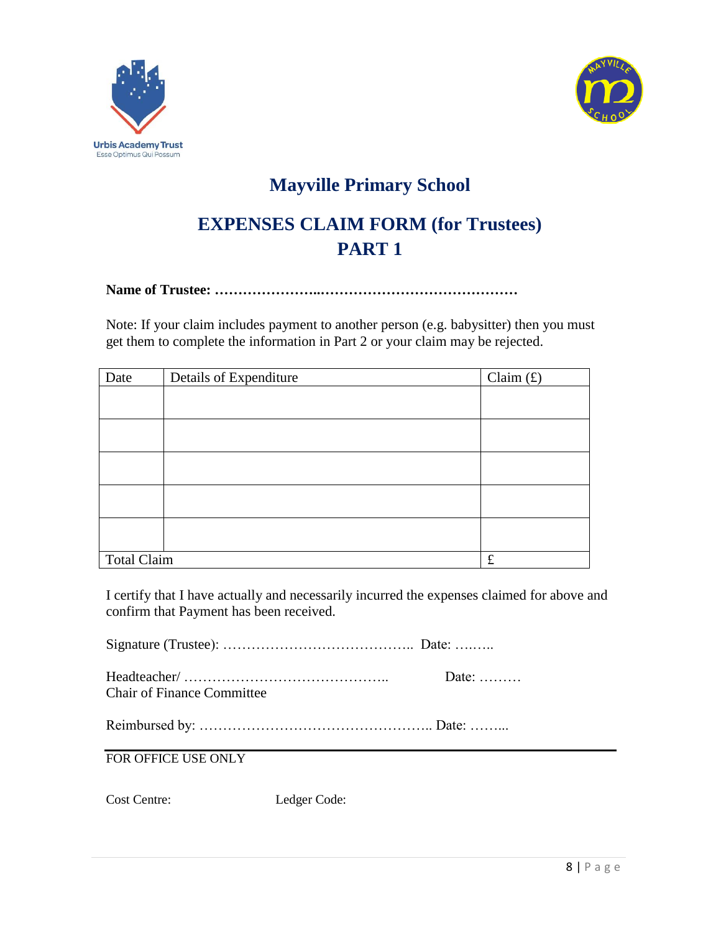



### **Mayville Primary School**

### **EXPENSES CLAIM FORM (for Trustees) PART 1**

**Name of Trustee: …………………..……………………………………**

Note: If your claim includes payment to another person (e.g. babysitter) then you must get them to complete the information in Part 2 or your claim may be rejected.

| Date               | Details of Expenditure | Claim $(f)$ |
|--------------------|------------------------|-------------|
|                    |                        |             |
|                    |                        |             |
|                    |                        |             |
|                    |                        |             |
|                    |                        |             |
|                    |                        |             |
|                    |                        |             |
|                    |                        |             |
| <b>Total Claim</b> |                        | $\pounds$   |

I certify that I have actually and necessarily incurred the expenses claimed for above and confirm that Payment has been received.

Signature (Trustee): ………………………………….. Date: ….…..

|                                   | Date: $\dots \dots$ |
|-----------------------------------|---------------------|
| <b>Chair of Finance Committee</b> |                     |

Reimbursed by: ………………………………………….. Date: ……...

FOR OFFICE USE ONLY

Cost Centre: Ledger Code: